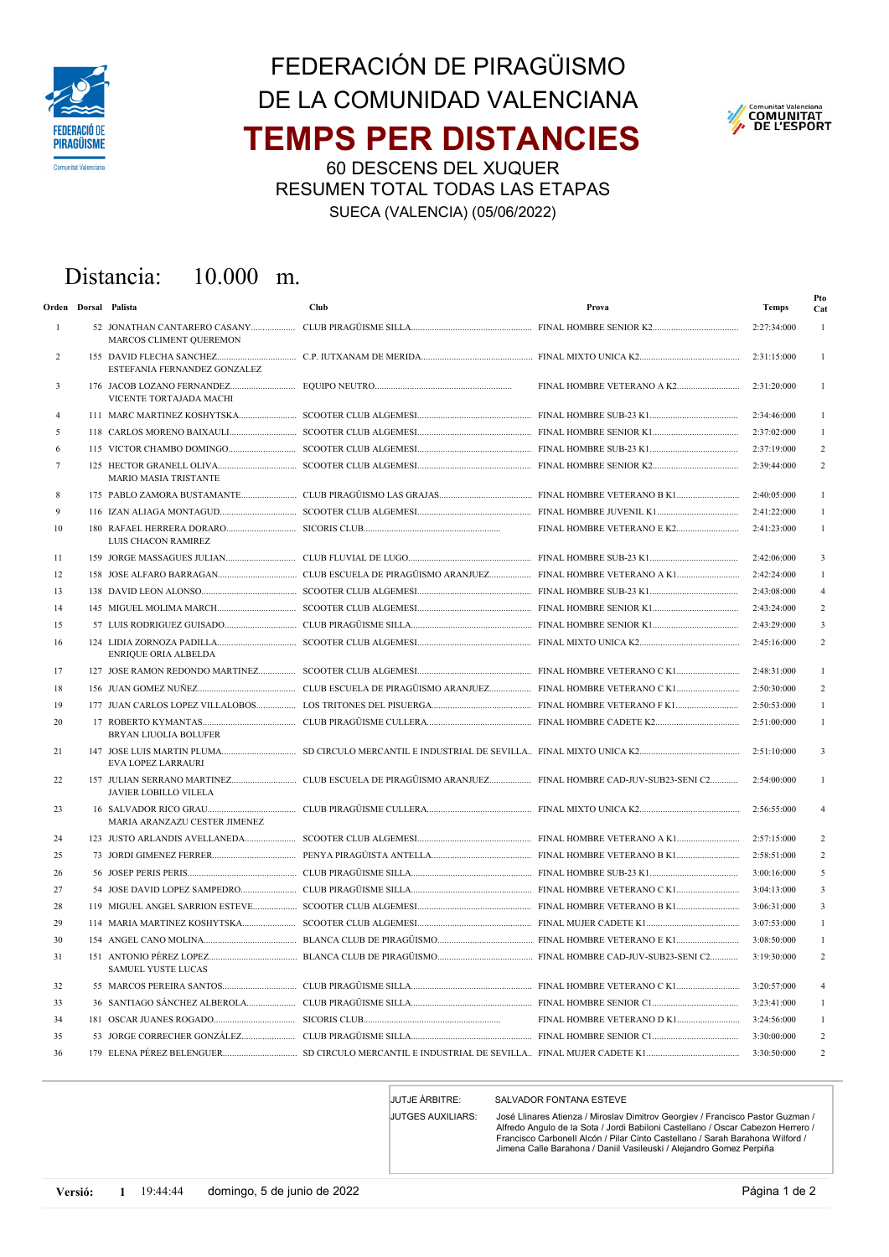

## TEMPS PER DISTANCIES FEDERACIÓN DE PIRAGÜISMO DE LA COMUNIDAD VALENCIANA



60 DESCENS DEL XUQUER RESUMEN TOTAL TODAS LAS ETAPAS SUECA (VALENCIA) (05/06/2022)

## Distancia: 10.000 m.

|                | Orden Dorsal Palista          | Club | Prova                      | <b>Temps</b> | Pto<br>Cat              |
|----------------|-------------------------------|------|----------------------------|--------------|-------------------------|
| $\mathbf{1}$   | MARCOS CLIMENT QUEREMON       |      |                            | 2:27:34:000  | 1                       |
| 2              | ESTEFANIA FERNANDEZ GONZALEZ  |      |                            | 2:31:15:000  |                         |
| 3              | VICENTE TORTAJADA MACHI       |      |                            | 2:31:20:000  | 1                       |
| $\overline{4}$ |                               |      |                            | 2:34:46:000  | 1                       |
| 5              |                               |      |                            | 2:37:02:000  |                         |
| 6              |                               |      |                            | 2:37:19:000  | $\overline{c}$          |
| 7              | <b>MARIO MASIA TRISTANTE</b>  |      |                            | 2:39:44:000  | $\overline{c}$          |
| 8              |                               |      |                            | 2:40:05:000  | 1                       |
| 9              |                               |      |                            | 2:41:22:000  |                         |
| 10             | LUIS CHACON RAMIREZ           |      | FINAL HOMBRE VETERANO E K2 | 2:41:23:000  | 1                       |
| 11             |                               |      |                            | 2:42:06:000  | 3                       |
| 12             |                               |      |                            | 2:42:24:000  | 1                       |
| 13             |                               |      |                            | 2:43:08:000  | $\overline{4}$          |
| 14             |                               |      |                            | 2:43:24:000  | 2                       |
| 15             |                               |      |                            | 2:43:29:000  | $\overline{\mathbf{3}}$ |
| 16             | ENRIQUE ORIA ALBELDA          |      |                            | 2:45:16:000  | $\overline{c}$          |
| 17             |                               |      |                            | 2:48:31:000  | 1                       |
| 18             |                               |      |                            | 2:50:30:000  | $\overline{c}$          |
| 19             |                               |      |                            | 2:50:53:000  | 1                       |
| 20             | <b>BRYAN LIUOLIA BOLUFER</b>  |      |                            | 2:51:00:000  | $\mathbf{1}$            |
| 21             | <b>EVA LOPEZ LARRAURI</b>     |      |                            | 2:51:10:000  | 3                       |
| 22             | <b>JAVIER LOBILLO VILELA</b>  |      |                            | 2:54:00:000  |                         |
| 23             | MARIA ARANZAZU CESTER JIMENEZ |      |                            | 2:56:55:000  |                         |
| 24             |                               |      |                            | 2:57:15:000  | 2                       |
| 25             |                               |      |                            | 2:58:51:000  | $\overline{c}$          |
| 26             |                               |      |                            | 3:00:16:000  | 5                       |
| 27             |                               |      |                            | 3:04:13:000  | $\overline{\mathbf{3}}$ |
| 28             |                               |      |                            | 3:06:31:000  | 3                       |
| 29             |                               |      |                            | 3:07:53:000  | 1                       |
| 30             |                               |      |                            | 3:08:50:000  | 1                       |
| 31             | SAMUEL YUSTE LUCAS            |      |                            | 3:19:30:000  | $\overline{c}$          |
| 32             |                               |      |                            | 3:20:57:000  | 4                       |
| 33             |                               |      |                            | 3:23:41:000  | 1                       |
| 34             |                               |      | FINAL HOMBRE VETERANO D K1 | 3:24:56:000  | $\mathbf{1}$            |
| 35             |                               |      |                            | 3:30:00:000  | $\overline{c}$          |
| 36             |                               |      |                            | 3:30:50:000  | $\overline{c}$          |

JUTJE ÀRBITRE: SALVADOR FONTANA ESTEVE

JUTGES AUXILIARS:

José Llinares Atienza / Miroslav Dimitrov Georgiev / Francisco Pastor Guzman / Alfredo Angulo de la Sota / Jordi Babiloni Castellano / Oscar Cabezon Herrero / Francisco Carbonell Alcón / Pilar Cinto Castellano / Sarah Barahona Wilford / Jimena Calle Barahona / Daniil Vasileuski / Alejandro Gomez Perpiña